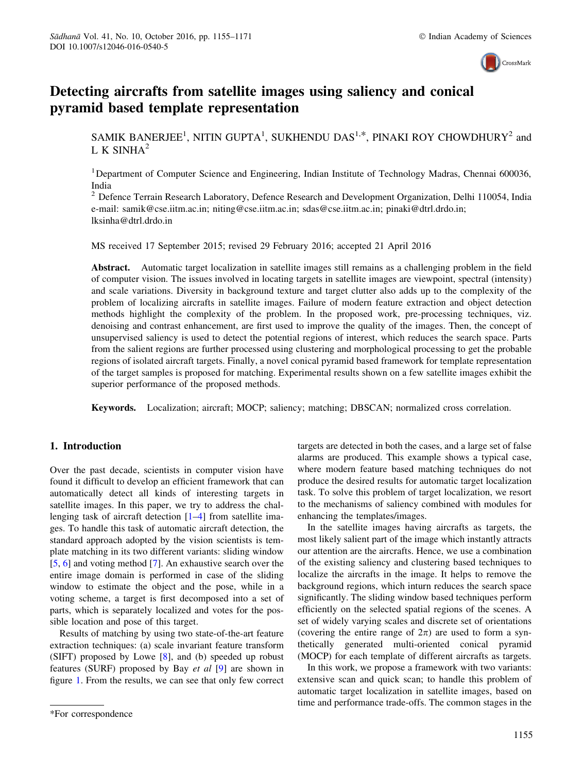

# Detecting aircrafts from satellite images using saliency and conical pyramid based template representation

SAMIK BANERJEE<sup>1</sup>, NITIN GUPTA<sup>1</sup>, SUKHENDU DAS<sup>1,\*</sup>, PINAKI ROY CHOWDHURY<sup>2</sup> and L K SINH $A^2$ 

<sup>1</sup>Department of Computer Science and Engineering, Indian Institute of Technology Madras, Chennai 600036, India

<sup>2</sup> Defence Terrain Research Laboratory, Defence Research and Development Organization, Delhi 110054, India e-mail: samik@cse.iitm.ac.in; niting@cse.iitm.ac.in; sdas@cse.iitm.ac.in; pinaki@dtrl.drdo.in; lksinha@dtrl.drdo.in

MS received 17 September 2015; revised 29 February 2016; accepted 21 April 2016

Abstract. Automatic target localization in satellite images still remains as a challenging problem in the field of computer vision. The issues involved in locating targets in satellite images are viewpoint, spectral (intensity) and scale variations. Diversity in background texture and target clutter also adds up to the complexity of the problem of localizing aircrafts in satellite images. Failure of modern feature extraction and object detection methods highlight the complexity of the problem. In the proposed work, pre-processing techniques, viz. denoising and contrast enhancement, are first used to improve the quality of the images. Then, the concept of unsupervised saliency is used to detect the potential regions of interest, which reduces the search space. Parts from the salient regions are further processed using clustering and morphological processing to get the probable regions of isolated aircraft targets. Finally, a novel conical pyramid based framework for template representation of the target samples is proposed for matching. Experimental results shown on a few satellite images exhibit the superior performance of the proposed methods.

Keywords. Localization; aircraft; MOCP; saliency; matching; DBSCAN; normalized cross correlation.

## 1. Introduction

Over the past decade, scientists in computer vision have found it difficult to develop an efficient framework that can automatically detect all kinds of interesting targets in satellite images. In this paper, we try to address the challenging task of aircraft detection [1–4] from satellite images. To handle this task of automatic aircraft detection, the standard approach adopted by the vision scientists is template matching in its two different variants: sliding window [5, 6] and voting method [7]. An exhaustive search over the entire image domain is performed in case of the sliding window to estimate the object and the pose, while in a voting scheme, a target is first decomposed into a set of parts, which is separately localized and votes for the possible location and pose of this target.

Results of matching by using two state-of-the-art feature extraction techniques: (a) scale invariant feature transform (SIFT) proposed by Lowe [8], and (b) speeded up robust features (SURF) proposed by Bay et al [9] are shown in figure 1. From the results, we can see that only few correct targets are detected in both the cases, and a large set of false alarms are produced. This example shows a typical case, where modern feature based matching techniques do not produce the desired results for automatic target localization task. To solve this problem of target localization, we resort to the mechanisms of saliency combined with modules for enhancing the templates/images.

In the satellite images having aircrafts as targets, the most likely salient part of the image which instantly attracts our attention are the aircrafts. Hence, we use a combination of the existing saliency and clustering based techniques to localize the aircrafts in the image. It helps to remove the background regions, which inturn reduces the search space significantly. The sliding window based techniques perform efficiently on the selected spatial regions of the scenes. A set of widely varying scales and discrete set of orientations (covering the entire range of  $2\pi$ ) are used to form a synthetically generated multi-oriented conical pyramid (MOCP) for each template of different aircrafts as targets.

In this work, we propose a framework with two variants: extensive scan and quick scan; to handle this problem of automatic target localization in satellite images, based on time and performance trade-offs. The common stages in the

<sup>\*</sup>For correspondence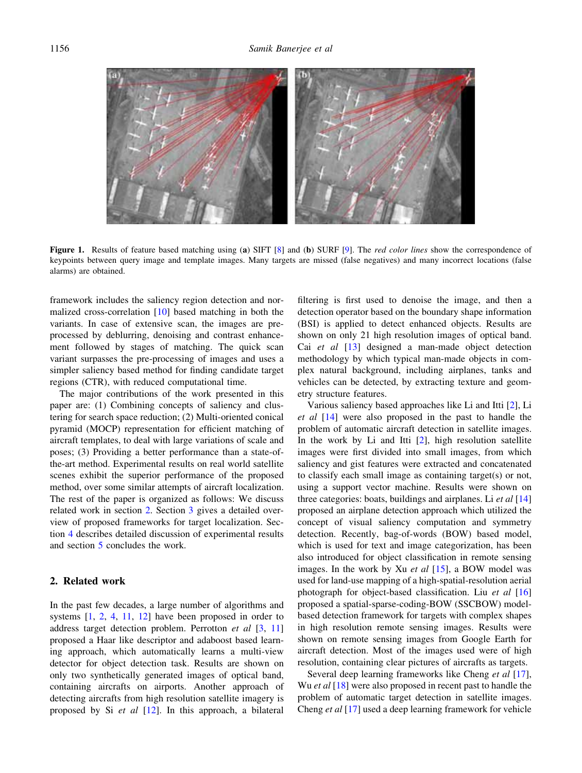

Figure 1. Results of feature based matching using (a) SIFT [8] and (b) SURF [9]. The *red color lines* show the correspondence of keypoints between query image and template images. Many targets are missed (false negatives) and many incorrect locations (false alarms) are obtained.

framework includes the saliency region detection and normalized cross-correlation [10] based matching in both the variants. In case of extensive scan, the images are preprocessed by deblurring, denoising and contrast enhancement followed by stages of matching. The quick scan variant surpasses the pre-processing of images and uses a simpler saliency based method for finding candidate target regions (CTR), with reduced computational time.

The major contributions of the work presented in this paper are: (1) Combining concepts of saliency and clustering for search space reduction; (2) Multi-oriented conical pyramid (MOCP) representation for efficient matching of aircraft templates, to deal with large variations of scale and poses; (3) Providing a better performance than a state-ofthe-art method. Experimental results on real world satellite scenes exhibit the superior performance of the proposed method, over some similar attempts of aircraft localization. The rest of the paper is organized as follows: We discuss related work in section 2. Section 3 gives a detailed overview of proposed frameworks for target localization. Section 4 describes detailed discussion of experimental results and section 5 concludes the work.

## 2. Related work

In the past few decades, a large number of algorithms and systems [1, 2, 4, 11, 12] have been proposed in order to address target detection problem. Perrotton et al [3, 11] proposed a Haar like descriptor and adaboost based learning approach, which automatically learns a multi-view detector for object detection task. Results are shown on only two synthetically generated images of optical band, containing aircrafts on airports. Another approach of detecting aircrafts from high resolution satellite imagery is proposed by Si et al [12]. In this approach, a bilateral

filtering is first used to denoise the image, and then a detection operator based on the boundary shape information (BSI) is applied to detect enhanced objects. Results are shown on only 21 high resolution images of optical band. Cai et al [13] designed a man-made object detection methodology by which typical man-made objects in complex natural background, including airplanes, tanks and vehicles can be detected, by extracting texture and geometry structure features.

Various saliency based approaches like Li and Itti [2], Li et al [14] were also proposed in the past to handle the problem of automatic aircraft detection in satellite images. In the work by Li and Itti [2], high resolution satellite images were first divided into small images, from which saliency and gist features were extracted and concatenated to classify each small image as containing target(s) or not, using a support vector machine. Results were shown on three categories: boats, buildings and airplanes. Li  $et$  al  $[14]$ proposed an airplane detection approach which utilized the concept of visual saliency computation and symmetry detection. Recently, bag-of-words (BOW) based model, which is used for text and image categorization, has been also introduced for object classification in remote sensing images. In the work by Xu et al  $[15]$ , a BOW model was used for land-use mapping of a high-spatial-resolution aerial photograph for object-based classification. Liu et al [16] proposed a spatial-sparse-coding-BOW (SSCBOW) modelbased detection framework for targets with complex shapes in high resolution remote sensing images. Results were shown on remote sensing images from Google Earth for aircraft detection. Most of the images used were of high resolution, containing clear pictures of aircrafts as targets.

Several deep learning frameworks like Cheng *et al* [17], Wu *et al*  $[18]$  were also proposed in recent past to handle the problem of automatic target detection in satellite images. Cheng et al [17] used a deep learning framework for vehicle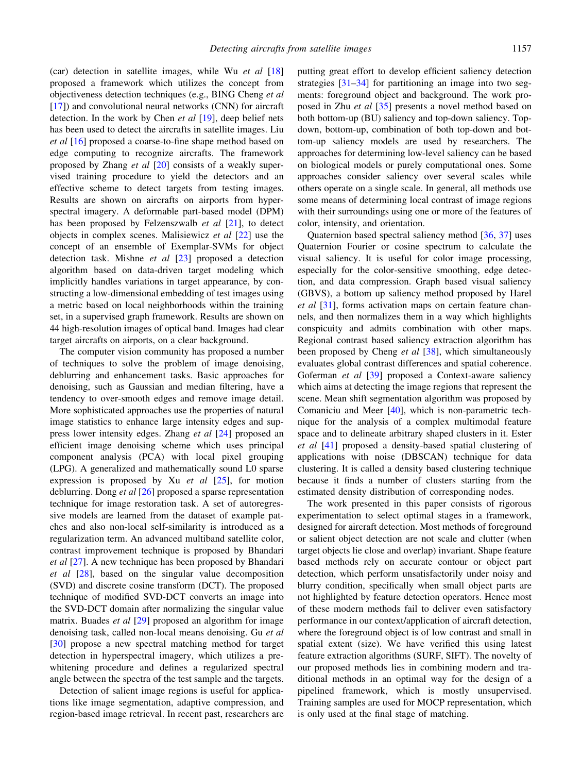(car) detection in satellite images, while Wu *et al*  $[18]$ proposed a framework which utilizes the concept from objectiveness detection techniques (e.g., BING Cheng et al [17]) and convolutional neural networks (CNN) for aircraft detection. In the work by Chen *et al*  $[19]$ , deep belief nets has been used to detect the aircrafts in satellite images. Liu et al [16] proposed a coarse-to-fine shape method based on edge computing to recognize aircrafts. The framework proposed by Zhang et al [20] consists of a weakly supervised training procedure to yield the detectors and an effective scheme to detect targets from testing images. Results are shown on aircrafts on airports from hyperspectral imagery. A deformable part-based model (DPM) has been proposed by Felzenszwalb  $et$  al  $[21]$ , to detect objects in complex scenes. Malisiewicz et al [22] use the concept of an ensemble of Exemplar-SVMs for object detection task. Mishne et al [23] proposed a detection algorithm based on data-driven target modeling which implicitly handles variations in target appearance, by constructing a low-dimensional embedding of test images using a metric based on local neighborhoods within the training set, in a supervised graph framework. Results are shown on 44 high-resolution images of optical band. Images had clear target aircrafts on airports, on a clear background.

The computer vision community has proposed a number of techniques to solve the problem of image denoising, deblurring and enhancement tasks. Basic approaches for denoising, such as Gaussian and median filtering, have a tendency to over-smooth edges and remove image detail. More sophisticated approaches use the properties of natural image statistics to enhance large intensity edges and suppress lower intensity edges. Zhang et al [24] proposed an efficient image denoising scheme which uses principal component analysis (PCA) with local pixel grouping (LPG). A generalized and mathematically sound L0 sparse expression is proposed by Xu  $et$  al  $[25]$ , for motion deblurring. Dong et al [26] proposed a sparse representation technique for image restoration task. A set of autoregressive models are learned from the dataset of example patches and also non-local self-similarity is introduced as a regularization term. An advanced multiband satellite color, contrast improvement technique is proposed by Bhandari et al [27]. A new technique has been proposed by Bhandari et al [28], based on the singular value decomposition (SVD) and discrete cosine transform (DCT). The proposed technique of modified SVD-DCT converts an image into the SVD-DCT domain after normalizing the singular value matrix. Buades *et al* [29] proposed an algorithm for image denoising task, called non-local means denoising. Gu et al [30] propose a new spectral matching method for target detection in hyperspectral imagery, which utilizes a prewhitening procedure and defines a regularized spectral angle between the spectra of the test sample and the targets.

Detection of salient image regions is useful for applications like image segmentation, adaptive compression, and region-based image retrieval. In recent past, researchers are

putting great effort to develop efficient saliency detection strategies [31–34] for partitioning an image into two segments: foreground object and background. The work proposed in Zhu et al [35] presents a novel method based on both bottom-up (BU) saliency and top-down saliency. Topdown, bottom-up, combination of both top-down and bottom-up saliency models are used by researchers. The approaches for determining low-level saliency can be based on biological models or purely computational ones. Some approaches consider saliency over several scales while others operate on a single scale. In general, all methods use some means of determining local contrast of image regions with their surroundings using one or more of the features of color, intensity, and orientation.

Quaternion based spectral saliency method [36, 37] uses Quaternion Fourier or cosine spectrum to calculate the visual saliency. It is useful for color image processing, especially for the color-sensitive smoothing, edge detection, and data compression. Graph based visual saliency (GBVS), a bottom up saliency method proposed by Harel et al [31], forms activation maps on certain feature channels, and then normalizes them in a way which highlights conspicuity and admits combination with other maps. Regional contrast based saliency extraction algorithm has been proposed by Cheng et al [38], which simultaneously evaluates global contrast differences and spatial coherence. Goferman et al [39] proposed a Context-aware saliency which aims at detecting the image regions that represent the scene. Mean shift segmentation algorithm was proposed by Comaniciu and Meer [40], which is non-parametric technique for the analysis of a complex multimodal feature space and to delineate arbitrary shaped clusters in it. Ester et al [41] proposed a density-based spatial clustering of applications with noise (DBSCAN) technique for data clustering. It is called a density based clustering technique because it finds a number of clusters starting from the estimated density distribution of corresponding nodes.

The work presented in this paper consists of rigorous experimentation to select optimal stages in a framework, designed for aircraft detection. Most methods of foreground or salient object detection are not scale and clutter (when target objects lie close and overlap) invariant. Shape feature based methods rely on accurate contour or object part detection, which perform unsatisfactorily under noisy and blurry condition, specifically when small object parts are not highlighted by feature detection operators. Hence most of these modern methods fail to deliver even satisfactory performance in our context/application of aircraft detection, where the foreground object is of low contrast and small in spatial extent (size). We have verified this using latest feature extraction algorithms (SURF, SIFT). The novelty of our proposed methods lies in combining modern and traditional methods in an optimal way for the design of a pipelined framework, which is mostly unsupervised. Training samples are used for MOCP representation, which is only used at the final stage of matching.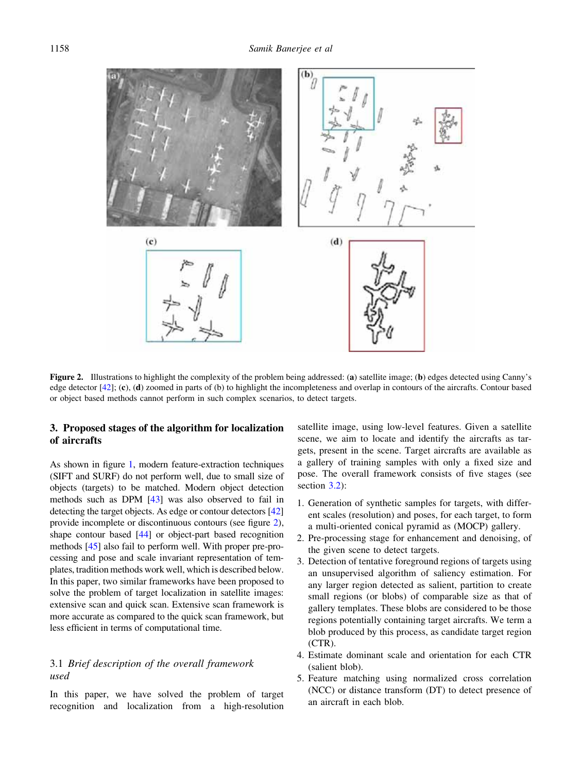

Figure 2. Illustrations to highlight the complexity of the problem being addressed: (a) satellite image; (b) edges detected using Canny's edge detector [42]; (c), (d) zoomed in parts of (b) to highlight the incompleteness and overlap in contours of the aircrafts. Contour based or object based methods cannot perform in such complex scenarios, to detect targets.

# 3. Proposed stages of the algorithm for localization of aircrafts

As shown in figure 1, modern feature-extraction techniques (SIFT and SURF) do not perform well, due to small size of objects (targets) to be matched. Modern object detection methods such as DPM [43] was also observed to fail in detecting the target objects. As edge or contour detectors [42] provide incomplete or discontinuous contours (see figure 2), shape contour based [44] or object-part based recognition methods [45] also fail to perform well. With proper pre-processing and pose and scale invariant representation of templates, tradition methods work well, which is described below. In this paper, two similar frameworks have been proposed to solve the problem of target localization in satellite images: extensive scan and quick scan. Extensive scan framework is more accurate as compared to the quick scan framework, but less efficient in terms of computational time.

# 3.1 Brief description of the overall framework used

In this paper, we have solved the problem of target recognition and localization from a high-resolution

satellite image, using low-level features. Given a satellite scene, we aim to locate and identify the aircrafts as targets, present in the scene. Target aircrafts are available as a gallery of training samples with only a fixed size and pose. The overall framework consists of five stages (see section 3.2):

- 1. Generation of synthetic samples for targets, with different scales (resolution) and poses, for each target, to form a multi-oriented conical pyramid as (MOCP) gallery.
- 2. Pre-processing stage for enhancement and denoising, of the given scene to detect targets.
- 3. Detection of tentative foreground regions of targets using an unsupervised algorithm of saliency estimation. For any larger region detected as salient, partition to create small regions (or blobs) of comparable size as that of gallery templates. These blobs are considered to be those regions potentially containing target aircrafts. We term a blob produced by this process, as candidate target region (CTR).
- 4. Estimate dominant scale and orientation for each CTR (salient blob).
- 5. Feature matching using normalized cross correlation (NCC) or distance transform (DT) to detect presence of an aircraft in each blob.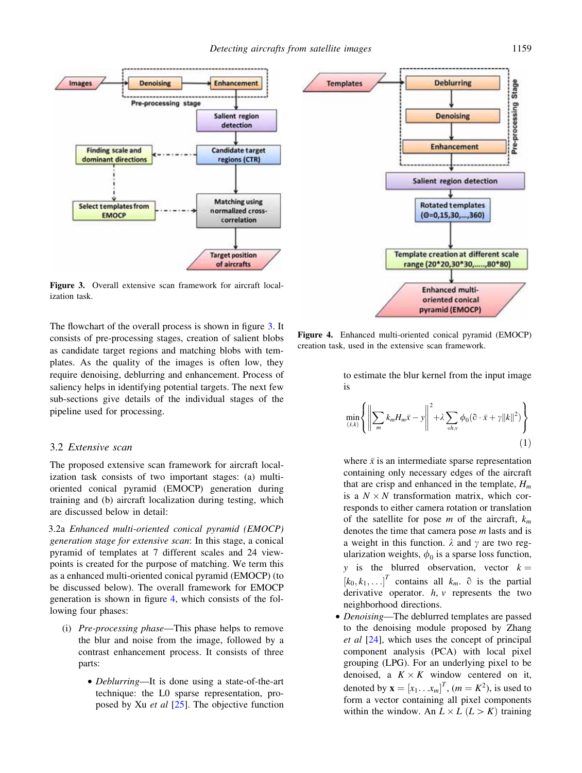

Figure 3. Overall extensive scan framework for aircraft localization task.

The flowchart of the overall process is shown in figure 3. It consists of pre-processing stages, creation of salient blobs as candidate target regions and matching blobs with templates. As the quality of the images is often low, they require denoising, deblurring and enhancement. Process of saliency helps in identifying potential targets. The next few sub-sections give details of the individual stages of the pipeline used for processing.

#### 3.2 Extensive scan

The proposed extensive scan framework for aircraft localization task consists of two important stages: (a) multioriented conical pyramid (EMOCP) generation during training and (b) aircraft localization during testing, which are discussed below in detail:

3.2a Enhanced multi-oriented conical pyramid (EMOCP) generation stage for extensive scan: In this stage, a conical pyramid of templates at 7 different scales and 24 viewpoints is created for the purpose of matching. We term this as a enhanced multi-oriented conical pyramid (EMOCP) (to be discussed below). The overall framework for EMOCP generation is shown in figure 4, which consists of the following four phases:

- (i) Pre-processing phase—This phase helps to remove the blur and noise from the image, followed by a contrast enhancement process. It consists of three parts:
	- Deblurring—It is done using a state-of-the-art technique: the L0 sparse representation, proposed by Xu *et al*  $[25]$ . The objective function



Figure 4. Enhanced multi-oriented conical pyramid (EMOCP) creation task, used in the extensive scan framework.

to estimate the blur kernel from the input image is

$$
\min_{(\bar{x},k)} \left\{ \left\| \sum_{m} k_m H_m \bar{x} - y \right\|^2 + \lambda \sum_{\langle \epsilon h, v} \phi_0(\partial \cdot \bar{x} + \gamma ||k||^2) \right\}
$$
(1)

where  $\bar{x}$  is an intermediate sparse representation containing only necessary edges of the aircraft that are crisp and enhanced in the template,  $H_m$ is a  $N \times N$  transformation matrix, which corresponds to either camera rotation or translation of the satellite for pose m of the aircraft,  $k_m$ denotes the time that camera pose m lasts and is a weight in this function.  $\lambda$  and  $\gamma$  are two regularization weights,  $\phi_0$  is a sparse loss function, y is the blurred observation, vector  $k =$  $[k_0, k_1, \ldots]^T$  contains all  $k_m$ .  $\partial$  is the partial derivative operator.  $h, v$  represents the two neighborhood directions.

• *Denoising*—The deblurred templates are passed to the denoising module proposed by Zhang et al [24], which uses the concept of principal component analysis (PCA) with local pixel grouping (LPG). For an underlying pixel to be denoised, a  $K \times K$  window centered on it, denoted by  $\mathbf{x} = [x_1 \dots x_m]^T$ ,  $(m = K^2)$ , is used to form a vector containing all pixel components within the window. An  $L \times L (L > K)$  training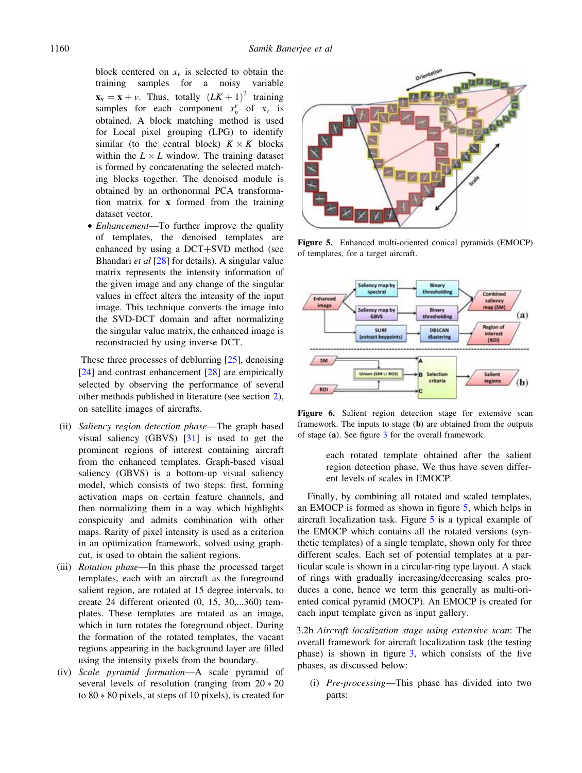block centered on  $x_v$  is selected to obtain the training samples for a noisy variable  $\mathbf{x}_v = \mathbf{x} + v$ . Thus, totally  $(LK + 1)^2$  training samples for each component  $x_n^v$  of  $x_v$  is obtained. A block matching method is used for Local pixel grouping (LPG) to identify similar (to the central block)  $K \times K$  blocks within the  $L \times L$  window. The training dataset is formed by concatenating the selected matching blocks together. The denoised module is obtained by an orthonormal PCA transformation matrix for x formed from the training dataset vector.

• *Enhancement*—To further improve the quality of templates, the denoised templates are enhanced by using a  $DCT+SVD$  method (see Bhandari et al [28] for details). A singular value matrix represents the intensity information of the given image and any change of the singular values in effect alters the intensity of the input image. This technique converts the image into the SVD-DCT domain and after normalizing the singular value matrix, the enhanced image is reconstructed by using inverse DCT.

These three processes of deblurring [25], denoising [24] and contrast enhancement [28] are empirically selected by observing the performance of several other methods published in literature (see section 2), on satellite images of aircrafts.

- (ii) Saliency region detection phase—The graph based visual saliency (GBVS) [31] is used to get the prominent regions of interest containing aircraft from the enhanced templates. Graph-based visual saliency (GBVS) is a bottom-up visual saliency model, which consists of two steps: first, forming activation maps on certain feature channels, and then normalizing them in a way which highlights conspicuity and admits combination with other maps. Rarity of pixel intensity is used as a criterion in an optimization framework, solved using graphcut, is used to obtain the salient regions.
- (iii) Rotation phase—In this phase the processed target templates, each with an aircraft as the foreground salient region, are rotated at 15 degree intervals, to create 24 different oriented (0, 15, 30,...360) templates. These templates are rotated as an image, which in turn rotates the foreground object. During the formation of the rotated templates, the vacant regions appearing in the background layer are filled using the intensity pixels from the boundary.
- (iv) Scale pyramid formation—A scale pyramid of several levels of resolution (ranging from  $20 * 20$ to  $80 * 80$  pixels, at steps of 10 pixels), is created for



Figure 5. Enhanced multi-oriented conical pyramids (EMOCP) of templates, for a target aircraft.



Figure 6. Salient region detection stage for extensive scan framework. The inputs to stage (b) are obtained from the outputs of stage (a). See figure 3 for the overall framework.

each rotated template obtained after the salient region detection phase. We thus have seven different levels of scales in EMOCP.

Finally, by combining all rotated and scaled templates, an EMOCP is formed as shown in figure 5, which helps in aircraft localization task. Figure 5 is a typical example of the EMOCP which contains all the rotated versions (synthetic templates) of a single template, shown only for three different scales. Each set of potential templates at a particular scale is shown in a circular-ring type layout. A stack of rings with gradually increasing/decreasing scales produces a cone, hence we term this generally as multi-oriented conical pyramid (MOCP). An EMOCP is created for each input template given as input gallery.

3.2b Aircraft localization stage using extensive scan: The overall framework for aircraft localization task (the testing phase) is shown in figure 3, which consists of the five phases, as discussed below:

(i) Pre-processing—This phase has divided into two parts: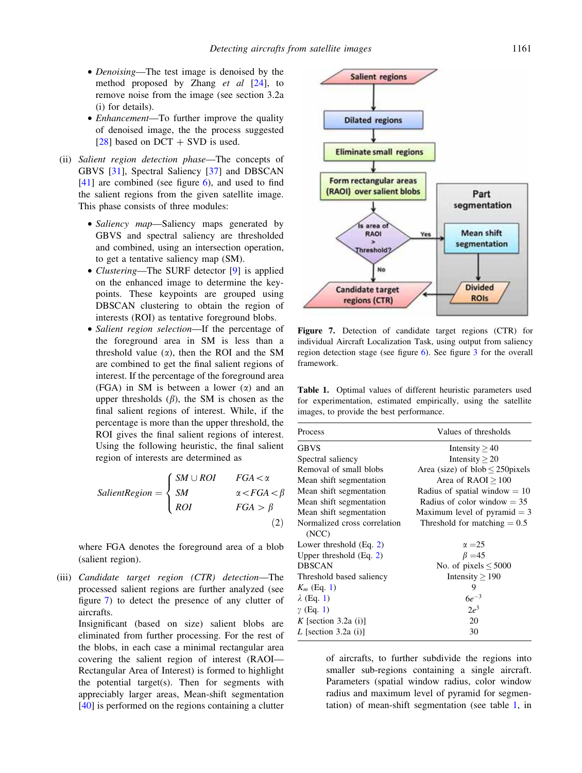- *Denoising*—The test image is denoised by the method proposed by Zhang  $et \ al \ [24]$ , to remove noise from the image (see section 3.2a (i) for details).
- *Enhancement*—To further improve the quality of denoised image, the the process suggested [28] based on  $DCT + SVD$  is used.
- (ii) Salient region detection phase—The concepts of GBVS [31], Spectral Saliency [37] and DBSCAN  $[41]$  are combined (see figure 6), and used to find the salient regions from the given satellite image. This phase consists of three modules:
	- Saliency map—Saliency maps generated by GBVS and spectral saliency are thresholded and combined, using an intersection operation, to get a tentative saliency map (SM).
	- Clustering—The SURF detector [9] is applied on the enhanced image to determine the keypoints. These keypoints are grouped using DBSCAN clustering to obtain the region of interests (ROI) as tentative foreground blobs.
	- Salient region selection—If the percentage of the foreground area in SM is less than a threshold value  $(\alpha)$ , then the ROI and the SM are combined to get the final salient regions of interest. If the percentage of the foreground area (FGA) in SM is between a lower  $(\alpha)$  and an upper thresholds  $(\beta)$ , the SM is chosen as the final salient regions of interest. While, if the percentage is more than the upper threshold, the ROI gives the final salient regions of interest. Using the following heuristic, the final salient region of interests are determined as

$$
SalientRegion = \begin{cases} SM \cup ROI & FGA < \alpha \\ SM & \alpha < FGA < \beta \\ ROI & FGA > \beta \end{cases}
$$
(2)

where FGA denotes the foreground area of a blob (salient region).

(iii) Candidate target region (CTR) detection—The processed salient regions are further analyzed (see figure 7) to detect the presence of any clutter of aircrafts.

Insignificant (based on size) salient blobs are eliminated from further processing. For the rest of the blobs, in each case a minimal rectangular area covering the salient region of interest (RAOI— Rectangular Area of Interest) is formed to highlight the potential target(s). Then for segments with appreciably larger areas, Mean-shift segmentation [40] is performed on the regions containing a clutter



Figure 7. Detection of candidate target regions (CTR) for individual Aircraft Localization Task, using output from saliency region detection stage (see figure 6). See figure 3 for the overall framework.

Table 1. Optimal values of different heuristic parameters used for experimentation, estimated empirically, using the satellite images, to provide the best performance.

| Process                      | Values of thresholds               |
|------------------------------|------------------------------------|
| <b>GBVS</b>                  | Intensity $>40$                    |
| Spectral saliency            | Intensity $\geq$ 20                |
| Removal of small blobs       | Area (size) of $blob < 250$ pixels |
| Mean shift segmentation      | Area of $RAOI \geq 100$            |
| Mean shift segmentation      | Radius of spatial window $= 10$    |
| Mean shift segmentation      | Radius of color window $= 35$      |
| Mean shift segmentation      | Maximum level of pyramid $=$ 3     |
| Normalized cross correlation | Threshold for matching $= 0.5$     |
| (NCC)                        |                                    |
| Lower threshold $(Eq. 2)$    | $\alpha = 25$                      |
| Upper threshold $(Eq. 2)$    | $\beta = 45$                       |
| <b>DBSCAN</b>                | No. of pixels $\leq 5000$          |
| Threshold based saliency     | Intensity $> 190$                  |
| $K_m$ (Eq. 1)                | 9                                  |
| $\lambda$ (Eq. 1)            | $6e^{-3}$                          |
| $\gamma$ (Eq. 1)             | $2e^3$                             |
| K [section 3.2a (i)]         | 20                                 |
| L [section 3.2a (i)]         | 30                                 |
|                              |                                    |

of aircrafts, to further subdivide the regions into smaller sub-regions containing a single aircraft. Parameters (spatial window radius, color window radius and maximum level of pyramid for segmentation) of mean-shift segmentation (see table 1, in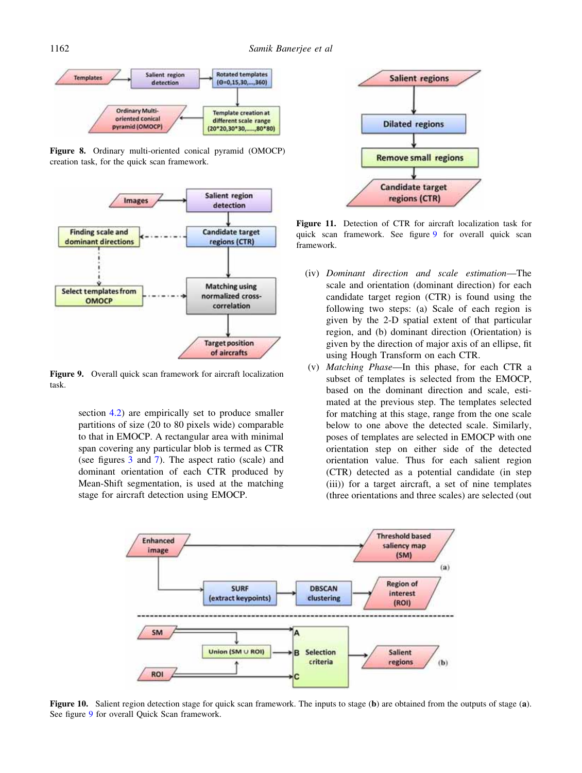

Figure 8. Ordinary multi-oriented conical pyramid (OMOCP) creation task, for the quick scan framework.



Figure 9. Overall quick scan framework for aircraft localization task.

section 4.2) are empirically set to produce smaller partitions of size (20 to 80 pixels wide) comparable to that in EMOCP. A rectangular area with minimal span covering any particular blob is termed as CTR (see figures 3 and 7). The aspect ratio (scale) and dominant orientation of each CTR produced by Mean-Shift segmentation, is used at the matching stage for aircraft detection using EMOCP.



Figure 11. Detection of CTR for aircraft localization task for quick scan framework. See figure 9 for overall quick scan framework.

- (iv) Dominant direction and scale estimation—The scale and orientation (dominant direction) for each candidate target region (CTR) is found using the following two steps: (a) Scale of each region is given by the 2-D spatial extent of that particular region, and (b) dominant direction (Orientation) is given by the direction of major axis of an ellipse, fit using Hough Transform on each CTR.
- (v) Matching Phase—In this phase, for each CTR a subset of templates is selected from the EMOCP, based on the dominant direction and scale, estimated at the previous step. The templates selected for matching at this stage, range from the one scale below to one above the detected scale. Similarly, poses of templates are selected in EMOCP with one orientation step on either side of the detected orientation value. Thus for each salient region (CTR) detected as a potential candidate (in step (iii)) for a target aircraft, a set of nine templates (three orientations and three scales) are selected (out



Figure 10. Salient region detection stage for quick scan framework. The inputs to stage (b) are obtained from the outputs of stage (a). See figure 9 for overall Quick Scan framework.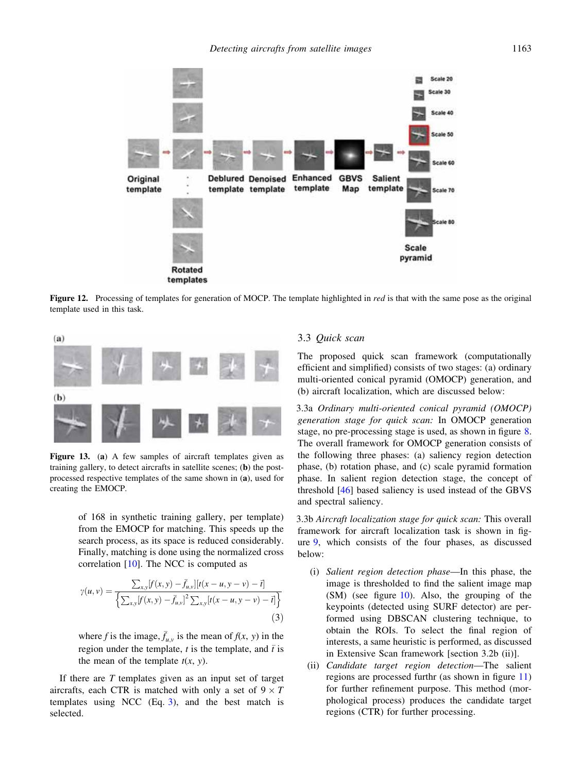

Figure 12. Processing of templates for generation of MOCP. The template highlighted in red is that with the same pose as the original template used in this task.



Figure 13. (a) A few samples of aircraft templates given as training gallery, to detect aircrafts in satellite scenes; (b) the postprocessed respective templates of the same shown in (a), used for creating the EMOCP.

of 168 in synthetic training gallery, per template) from the EMOCP for matching. This speeds up the search process, as its space is reduced considerably. Finally, matching is done using the normalized cross correlation [10]. The NCC is computed as

$$
\gamma(u,v) = \frac{\sum_{x,y} [f(x,y) - \bar{f}_{u,v}] [t(x-u, y-v) - \bar{t}]}{\left\{ \sum_{x,y} [f(x,y) - \bar{f}_{u,v}]^2 \sum_{x,y} [t(x-u, y-v) - \bar{t}] \right\}}
$$
(3)

where f is the image,  $\bar{f}_{u,v}$  is the mean of  $f(x, y)$  in the region under the template, t is the template, and  $\bar{t}$  is the mean of the template  $t(x, y)$ .

If there are  $T$  templates given as an input set of target aircrafts, each CTR is matched with only a set of  $9 \times T$ templates using NCC (Eq. 3), and the best match is selected.

## 3.3 Quick scan

The proposed quick scan framework (computationally efficient and simplified) consists of two stages: (a) ordinary multi-oriented conical pyramid (OMOCP) generation, and (b) aircraft localization, which are discussed below:

3.3a Ordinary multi-oriented conical pyramid (OMOCP) generation stage for quick scan: In OMOCP generation stage, no pre-processing stage is used, as shown in figure 8. The overall framework for OMOCP generation consists of the following three phases: (a) saliency region detection phase, (b) rotation phase, and (c) scale pyramid formation phase. In salient region detection stage, the concept of threshold [46] based saliency is used instead of the GBVS and spectral saliency.

3.3b Aircraft localization stage for quick scan: This overall framework for aircraft localization task is shown in figure 9, which consists of the four phases, as discussed below:

- (i) Salient region detection phase—In this phase, the image is thresholded to find the salient image map (SM) (see figure 10). Also, the grouping of the keypoints (detected using SURF detector) are performed using DBSCAN clustering technique, to obtain the ROIs. To select the final region of interests, a same heuristic is performed, as discussed in Extensive Scan framework [section 3.2b (ii)].
- (ii) Candidate target region detection—The salient regions are processed furthr (as shown in figure 11) for further refinement purpose. This method (morphological process) produces the candidate target regions (CTR) for further processing.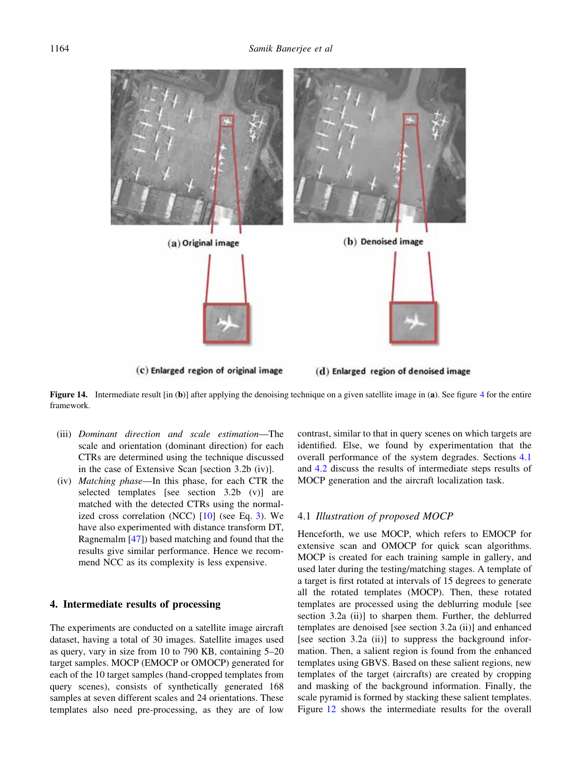(b) Denoised image (a) Original image

(c) Enlarged region of original image (d) Enlarged region of denoised image

Figure 14. Intermediate result [in (b)] after applying the denoising technique on a given satellite image in (a). See figure 4 for the entire framework.

- (iii) Dominant direction and scale estimation—The scale and orientation (dominant direction) for each CTRs are determined using the technique discussed in the case of Extensive Scan [section 3.2b (iv)].
- (iv) Matching phase—In this phase, for each CTR the selected templates [see section 3.2b (v)] are matched with the detected CTRs using the normalized cross correlation (NCC) [10] (see Eq. 3). We have also experimented with distance transform DT, Ragnemalm [47]) based matching and found that the results give similar performance. Hence we recommend NCC as its complexity is less expensive.

## 4. Intermediate results of processing

The experiments are conducted on a satellite image aircraft dataset, having a total of 30 images. Satellite images used as query, vary in size from 10 to 790 KB, containing 5–20 target samples. MOCP (EMOCP or OMOCP) generated for each of the 10 target samples (hand-cropped templates from query scenes), consists of synthetically generated 168 samples at seven different scales and 24 orientations. These templates also need pre-processing, as they are of low contrast, similar to that in query scenes on which targets are identified. Else, we found by experimentation that the overall performance of the system degrades. Sections 4.1 and 4.2 discuss the results of intermediate steps results of MOCP generation and the aircraft localization task.

## 4.1 Illustration of proposed MOCP

Henceforth, we use MOCP, which refers to EMOCP for extensive scan and OMOCP for quick scan algorithms. MOCP is created for each training sample in gallery, and used later during the testing/matching stages. A template of a target is first rotated at intervals of 15 degrees to generate all the rotated templates (MOCP). Then, these rotated templates are processed using the deblurring module [see section 3.2a (ii)] to sharpen them. Further, the deblurred templates are denoised [see section 3.2a (ii)] and enhanced [see section 3.2a (ii)] to suppress the background information. Then, a salient region is found from the enhanced templates using GBVS. Based on these salient regions, new templates of the target (aircrafts) are created by cropping and masking of the background information. Finally, the scale pyramid is formed by stacking these salient templates. Figure 12 shows the intermediate results for the overall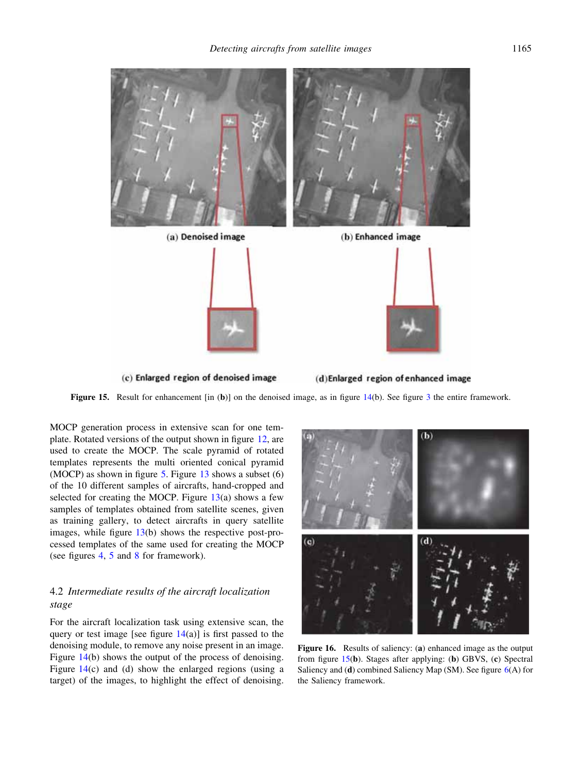

Figure 15. Result for enhancement [in (b)] on the denoised image, as in figure 14(b). See figure 3 the entire framework.

MOCP generation process in extensive scan for one template. Rotated versions of the output shown in figure 12, are used to create the MOCP. The scale pyramid of rotated templates represents the multi oriented conical pyramid (MOCP) as shown in figure  $5$ . Figure 13 shows a subset (6) of the 10 different samples of aircrafts, hand-cropped and selected for creating the MOCP. Figure  $13(a)$  shows a few samples of templates obtained from satellite scenes, given as training gallery, to detect aircrafts in query satellite images, while figure 13(b) shows the respective post-processed templates of the same used for creating the MOCP (see figures 4, 5 and 8 for framework).

# 4.2 Intermediate results of the aircraft localization stage

For the aircraft localization task using extensive scan, the query or test image [see figure  $14(a)$ ] is first passed to the denoising module, to remove any noise present in an image. Figure 14(b) shows the output of the process of denoising. Figure 14(c) and (d) show the enlarged regions (using a target) of the images, to highlight the effect of denoising.



Figure 16. Results of saliency: (a) enhanced image as the output from figure 15(b). Stages after applying: (b) GBVS, (c) Spectral Saliency and (d) combined Saliency Map (SM). See figure 6(A) for the Saliency framework.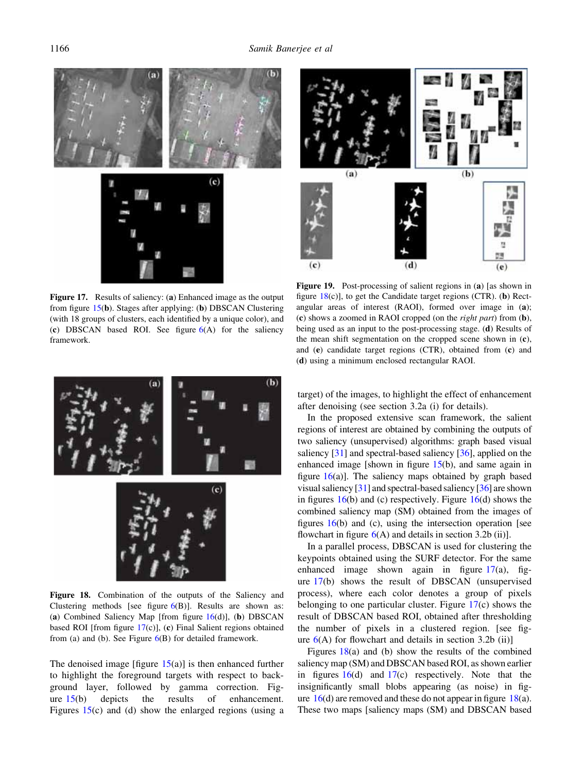

Figure 17. Results of saliency: (a) Enhanced image as the output from figure 15(b). Stages after applying: (b) DBSCAN Clustering (with 18 groups of clusters, each identified by a unique color), and (c) DBSCAN based ROI. See figure  $6(A)$  for the saliency framework.



Figure 19. Post-processing of salient regions in (a) [as shown in figure  $18(c)$ ], to get the Candidate target regions (CTR). (b) Rectangular areas of interest (RAOI), formed over image in (a); (c) shows a zoomed in RAOI cropped (on the right part) from (b), being used as an input to the post-processing stage. (d) Results of the mean shift segmentation on the cropped scene shown in (c), and (e) candidate target regions (CTR), obtained from (c) and (d) using a minimum enclosed rectangular RAOI.



Figure 18. Combination of the outputs of the Saliency and Clustering methods [see figure  $6(B)$ ]. Results are shown as: (a) Combined Saliency Map [from figure  $16(d)$ ], (b) DBSCAN based ROI [from figure 17(c)], (c) Final Salient regions obtained from (a) and (b). See Figure  $6(B)$  for detailed framework.

The denoised image [figure  $15(a)$ ] is then enhanced further to highlight the foreground targets with respect to background layer, followed by gamma correction. Figure 15(b) depicts the results of enhancement. Figures 15(c) and (d) show the enlarged regions (using a target) of the images, to highlight the effect of enhancement after denoising (see section 3.2a (i) for details).

In the proposed extensive scan framework, the salient regions of interest are obtained by combining the outputs of two saliency (unsupervised) algorithms: graph based visual saliency [31] and spectral-based saliency [36], applied on the enhanced image [shown in figure  $15(b)$ , and same again in figure  $16(a)$ ]. The saliency maps obtained by graph based visual saliency [31] and spectral-based saliency [36] are shown in figures  $16(b)$  and (c) respectively. Figure  $16(d)$  shows the combined saliency map (SM) obtained from the images of figures  $16(b)$  and (c), using the intersection operation [see flowchart in figure  $6(A)$  and details in section 3.2b (ii)].

In a parallel process, DBSCAN is used for clustering the keypoints obtained using the SURF detector. For the same enhanced image shown again in figure  $17(a)$ , figure 17(b) shows the result of DBSCAN (unsupervised process), where each color denotes a group of pixels belonging to one particular cluster. Figure 17(c) shows the result of DBSCAN based ROI, obtained after thresholding the number of pixels in a clustered region. [see figure  $6(A)$  for flowchart and details in section 3.2b (ii)]

Figures  $18(a)$  and (b) show the results of the combined saliency map (SM) and DBSCAN based ROI, as shown earlier in figures  $16(d)$  and  $17(c)$  respectively. Note that the insignificantly small blobs appearing (as noise) in figure  $16(d)$  are removed and these do not appear in figure  $18(a)$ . These two maps [saliency maps (SM) and DBSCAN based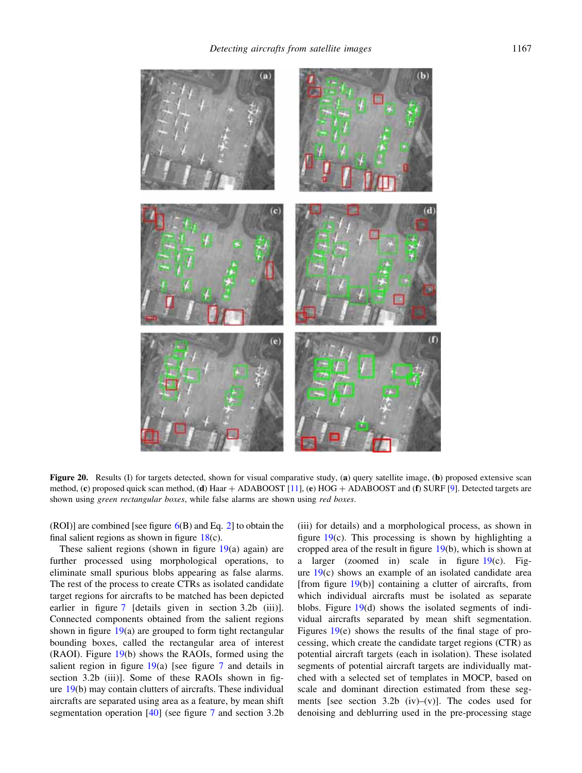

Figure 20. Results (I) for targets detected, shown for visual comparative study, (a) query satellite image, (b) proposed extensive scan method, (c) proposed quick scan method, (d) Haar  $+$  ADABOOST [11], (e) HOG  $+$  ADABOOST and (f) SURF [9]. Detected targets are shown using green rectangular boxes, while false alarms are shown using red boxes.

(ROI)] are combined [see figure  $6(B)$  and Eq. 2] to obtain the final salient regions as shown in figure  $18(c)$ .

These salient regions (shown in figure  $19(a)$  again) are further processed using morphological operations, to eliminate small spurious blobs appearing as false alarms. The rest of the process to create CTRs as isolated candidate target regions for aircrafts to be matched has been depicted earlier in figure 7 [details given in section 3.2b (iii)]. Connected components obtained from the salient regions shown in figure  $19(a)$  are grouped to form tight rectangular bounding boxes, called the rectangular area of interest (RAOI). Figure 19(b) shows the RAOIs, formed using the salient region in figure  $19(a)$  [see figure 7 and details in section 3.2b (iii)]. Some of these RAOIs shown in figure 19(b) may contain clutters of aircrafts. These individual aircrafts are separated using area as a feature, by mean shift segmentation operation [40] (see figure 7 and section 3.2b

(iii) for details) and a morphological process, as shown in figure 19(c). This processing is shown by highlighting a cropped area of the result in figure 19(b), which is shown at a larger (zoomed in) scale in figure 19(c). Figure  $19(c)$  shows an example of an isolated candidate area [from figure  $19(b)$ ] containing a clutter of aircrafts, from which individual aircrafts must be isolated as separate blobs. Figure 19(d) shows the isolated segments of individual aircrafts separated by mean shift segmentation. Figures 19(e) shows the results of the final stage of processing, which create the candidate target regions (CTR) as potential aircraft targets (each in isolation). These isolated segments of potential aircraft targets are individually matched with a selected set of templates in MOCP, based on scale and dominant direction estimated from these segments [see section 3.2b  $(iv)$ – $(v)$ ]. The codes used for denoising and deblurring used in the pre-processing stage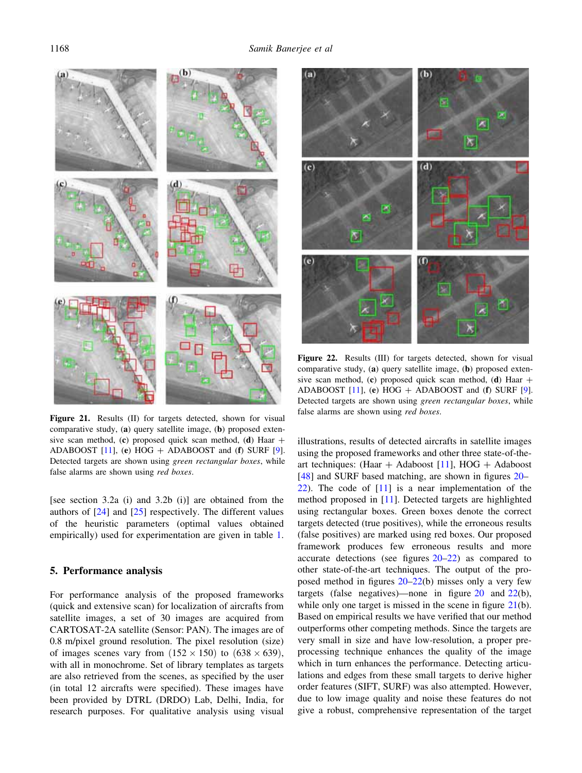

Figure 21. Results (II) for targets detected, shown for visual false alarms are shown using red boxes. comparative study, (a) query satellite image, (b) proposed extensive scan method, (c) proposed quick scan method, (d) Haar  $+$ ADABOOST [11], (e) HOG  $+$  ADABOOST and (f) SURF [9]. Detected targets are shown using green rectangular boxes, while false alarms are shown using red boxes.

[see section 3.2a (i) and 3.2b (i)] are obtained from the authors of [24] and [25] respectively. The different values of the heuristic parameters (optimal values obtained empirically) used for experimentation are given in table 1.

#### 5. Performance analysis

For performance analysis of the proposed frameworks (quick and extensive scan) for localization of aircrafts from satellite images, a set of 30 images are acquired from CARTOSAT-2A satellite (Sensor: PAN). The images are of 0.8 m/pixel ground resolution. The pixel resolution (size) of images scenes vary from  $(152 \times 150)$  to  $(638 \times 639)$ , with all in monochrome. Set of library templates as targets are also retrieved from the scenes, as specified by the user (in total 12 aircrafts were specified). These images have been provided by DTRL (DRDO) Lab, Delhi, India, for research purposes. For qualitative analysis using visual



Figure 22. Results (III) for targets detected, shown for visual comparative study, (a) query satellite image, (b) proposed extensive scan method, (c) proposed quick scan method, (d) Haar  $+$ ADABOOST  $[11]$ , (e) HOG + ADABOOST and (f) SURF  $[9]$ . Detected targets are shown using green rectangular boxes, while

illustrations, results of detected aircrafts in satellite images using the proposed frameworks and other three state-of-theart techniques: (Haar  $+$  Adaboost [11], HOG  $+$  Adaboost [48] and SURF based matching, are shown in figures 20– 22). The code of [11] is a near implementation of the method proposed in [11]. Detected targets are highlighted using rectangular boxes. Green boxes denote the correct targets detected (true positives), while the erroneous results (false positives) are marked using red boxes. Our proposed framework produces few erroneous results and more accurate detections (see figures 20–22) as compared to other state-of-the-art techniques. The output of the proposed method in figures 20–22(b) misses only a very few targets (false negatives)—none in figure  $20$  and  $22(b)$ , while only one target is missed in the scene in figure 21(b). Based on empirical results we have verified that our method outperforms other competing methods. Since the targets are very small in size and have low-resolution, a proper preprocessing technique enhances the quality of the image which in turn enhances the performance. Detecting articulations and edges from these small targets to derive higher order features (SIFT, SURF) was also attempted. However, due to low image quality and noise these features do not give a robust, comprehensive representation of the target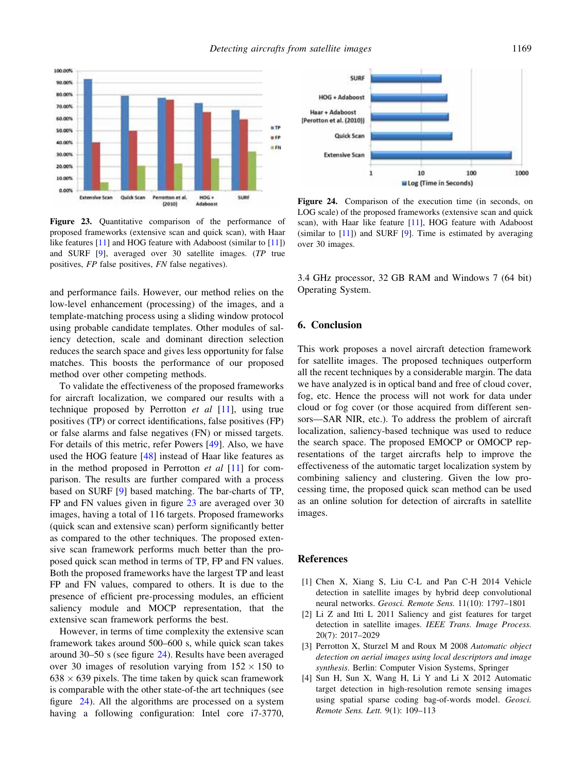

Figure 23. Quantitative comparison of the performance of proposed frameworks (extensive scan and quick scan), with Haar like features [11] and HOG feature with Adaboost (similar to [11]) and SURF [9], averaged over 30 satellite images. (TP true positives, FP false positives, FN false negatives).

and performance fails. However, our method relies on the low-level enhancement (processing) of the images, and a template-matching process using a sliding window protocol using probable candidate templates. Other modules of saliency detection, scale and dominant direction selection reduces the search space and gives less opportunity for false matches. This boosts the performance of our proposed method over other competing methods.

To validate the effectiveness of the proposed frameworks for aircraft localization, we compared our results with a technique proposed by Perrotton et al [11], using true positives (TP) or correct identifications, false positives (FP) or false alarms and false negatives (FN) or missed targets. For details of this metric, refer Powers [49]. Also, we have used the HOG feature [48] instead of Haar like features as in the method proposed in Perrotton  $et$  al  $[11]$  for comparison. The results are further compared with a process based on SURF [9] based matching. The bar-charts of TP, FP and FN values given in figure 23 are averaged over 30 images, having a total of 116 targets. Proposed frameworks (quick scan and extensive scan) perform significantly better as compared to the other techniques. The proposed extensive scan framework performs much better than the proposed quick scan method in terms of TP, FP and FN values. Both the proposed frameworks have the largest TP and least FP and FN values, compared to others. It is due to the presence of efficient pre-processing modules, an efficient saliency module and MOCP representation, that the extensive scan framework performs the best.

However, in terms of time complexity the extensive scan framework takes around 500–600 s, while quick scan takes around 30–50 s (see figure 24). Results have been averaged over 30 images of resolution varying from  $152 \times 150$  to  $638 \times 639$  pixels. The time taken by quick scan framework is comparable with the other state-of-the art techniques (see figure 24). All the algorithms are processed on a system having a following configuration: Intel core i7-3770,



Figure 24. Comparison of the execution time (in seconds, on LOG scale) of the proposed frameworks (extensive scan and quick scan), with Haar like feature [11], HOG feature with Adaboost (similar to  $[11]$ ) and SURF  $[9]$ . Time is estimated by averaging over 30 images.

3.4 GHz processor, 32 GB RAM and Windows 7 (64 bit) Operating System.

#### 6. Conclusion

This work proposes a novel aircraft detection framework for satellite images. The proposed techniques outperform all the recent techniques by a considerable margin. The data we have analyzed is in optical band and free of cloud cover, fog, etc. Hence the process will not work for data under cloud or fog cover (or those acquired from different sensors—SAR NIR, etc.). To address the problem of aircraft localization, saliency-based technique was used to reduce the search space. The proposed EMOCP or OMOCP representations of the target aircrafts help to improve the effectiveness of the automatic target localization system by combining saliency and clustering. Given the low processing time, the proposed quick scan method can be used as an online solution for detection of aircrafts in satellite images.

#### References

- [1] Chen X, Xiang S, Liu C-L and Pan C-H 2014 Vehicle detection in satellite images by hybrid deep convolutional neural networks. Geosci. Remote Sens. 11(10): 1797–1801
- [2] Li Z and Itti L 2011 Saliency and gist features for target detection in satellite images. IEEE Trans. Image Process. 20(7): 2017–2029
- [3] Perrotton X, Sturzel M and Roux M 2008 Automatic object detection on aerial images using local descriptors and image synthesis. Berlin: Computer Vision Systems, Springer
- [4] Sun H, Sun X, Wang H, Li Y and Li X 2012 Automatic target detection in high-resolution remote sensing images using spatial sparse coding bag-of-words model. Geosci. Remote Sens. Lett. 9(1): 109–113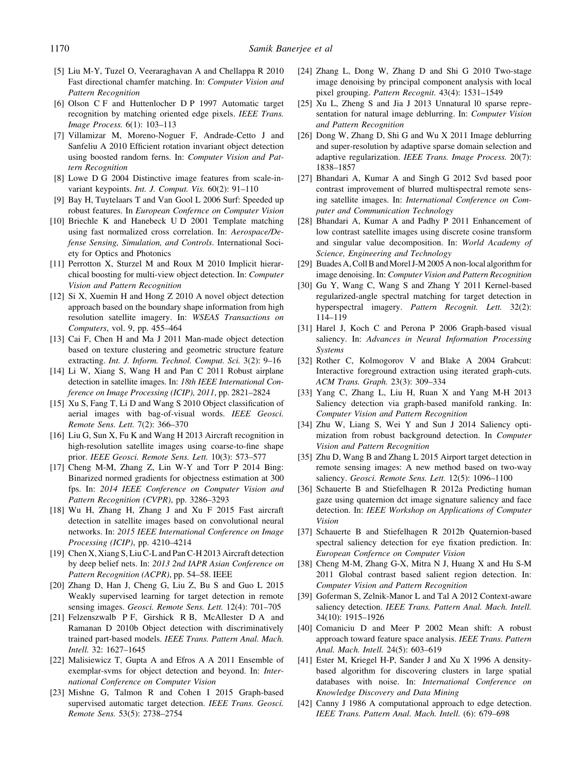- [5] Liu M-Y, Tuzel O, Veeraraghavan A and Chellappa R 2010 Fast directional chamfer matching. In: Computer Vision and Pattern Recognition
- [6] Olson C F and Huttenlocher D P 1997 Automatic target recognition by matching oriented edge pixels. IEEE Trans. Image Process. 6(1): 103–113
- [7] Villamizar M, Moreno-Noguer F, Andrade-Cetto J and Sanfeliu A 2010 Efficient rotation invariant object detection using boosted random ferns. In: Computer Vision and Pattern Recognition
- [8] Lowe D G 2004 Distinctive image features from scale-invariant keypoints. Int. J. Comput. Vis. 60(2): 91–110
- [9] Bay H, Tuytelaars T and Van Gool L 2006 Surf: Speeded up robust features. In European Confernce on Computer Vision
- [10] Briechle K and Hanebeck U D 2001 Template matching using fast normalized cross correlation. In: Aerospace/Defense Sensing, Simulation, and Controls. International Society for Optics and Photonics
- [11] Perrotton X, Sturzel M and Roux M 2010 Implicit hierarchical boosting for multi-view object detection. In: Computer Vision and Pattern Recognition
- [12] Si X, Xuemin H and Hong Z 2010 A novel object detection approach based on the boundary shape information from high resolution satellite imagery. In: WSEAS Transactions on Computers, vol. 9, pp. 455–464
- [13] Cai F, Chen H and Ma J 2011 Man-made object detection based on texture clustering and geometric structure feature extracting. Int. J. Inform. Technol. Comput. Sci. 3(2): 9–16
- [14] Li W, Xiang S, Wang H and Pan C 2011 Robust airplane detection in satellite images. In: 18th IEEE International Conference on Image Processing (ICIP), 2011, pp. 2821–2824
- [15] Xu S, Fang T, Li D and Wang S 2010 Object classification of aerial images with bag-of-visual words. IEEE Geosci. Remote Sens. Lett. 7(2): 366–370
- [16] Liu G, Sun X, Fu K and Wang H 2013 Aircraft recognition in high-resolution satellite images using coarse-to-fine shape prior. IEEE Geosci. Remote Sens. Lett. 10(3): 573–577
- [17] Cheng M-M, Zhang Z, Lin W-Y and Torr P 2014 Bing: Binarized normed gradients for objectness estimation at 300 fps. In: 2014 IEEE Conference on Computer Vision and Pattern Recognition (CVPR), pp. 3286–3293
- [18] Wu H, Zhang H, Zhang J and Xu F 2015 Fast aircraft detection in satellite images based on convolutional neural networks. In: 2015 IEEE International Conference on Image Processing (ICIP), pp. 4210–4214
- [19] Chen X, Xiang S, Liu C-L and Pan C-H 2013 Aircraft detection by deep belief nets. In: 2013 2nd IAPR Asian Conference on Pattern Recognition (ACPR), pp. 54–58. IEEE
- [20] Zhang D, Han J, Cheng G, Liu Z, Bu S and Guo L 2015 Weakly supervised learning for target detection in remote sensing images. Geosci. Remote Sens. Lett. 12(4): 701–705
- [21] Felzenszwalb P F, Girshick R B, McAllester D A and Ramanan D 2010b Object detection with discriminatively trained part-based models. IEEE Trans. Pattern Anal. Mach. Intell. 32: 1627–1645
- [22] Malisiewicz T, Gupta A and Efros A A 2011 Ensemble of exemplar-svms for object detection and beyond. In: International Conference on Computer Vision
- [23] Mishne G, Talmon R and Cohen I 2015 Graph-based supervised automatic target detection. IEEE Trans. Geosci. Remote Sens. 53(5): 2738–2754
- [24] Zhang L, Dong W, Zhang D and Shi G 2010 Two-stage image denoising by principal component analysis with local pixel grouping. Pattern Recognit. 43(4): 1531–1549
- [25] Xu L, Zheng S and Jia J 2013 Unnatural 10 sparse representation for natural image deblurring. In: Computer Vision and Pattern Recognition
- [26] Dong W, Zhang D, Shi G and Wu X 2011 Image deblurring and super-resolution by adaptive sparse domain selection and adaptive regularization. IEEE Trans. Image Process. 20(7): 1838–1857
- [27] Bhandari A, Kumar A and Singh G 2012 Svd based poor contrast improvement of blurred multispectral remote sensing satellite images. In: International Conference on Computer and Communication Technology
- [28] Bhandari A, Kumar A and Padhy P 2011 Enhancement of low contrast satellite images using discrete cosine transform and singular value decomposition. In: World Academy of Science, Engineering and Technology
- [29] Buades A, Coll B and Morel J-M 2005 A non-local algorithm for image denoising. In: Computer Vision and Pattern Recognition
- [30] Gu Y, Wang C, Wang S and Zhang Y 2011 Kernel-based regularized-angle spectral matching for target detection in hyperspectral imagery. Pattern Recognit. Lett. 32(2): 114–119
- [31] Harel J, Koch C and Perona P 2006 Graph-based visual saliency. In: Advances in Neural Information Processing Systems
- [32] Rother C, Kolmogorov V and Blake A 2004 Grabcut: Interactive foreground extraction using iterated graph-cuts. ACM Trans. Graph. 23(3): 309–334
- [33] Yang C, Zhang L, Liu H, Ruan X and Yang M-H 2013 Saliency detection via graph-based manifold ranking. In: Computer Vision and Pattern Recognition
- [34] Zhu W, Liang S, Wei Y and Sun J 2014 Saliency optimization from robust background detection. In Computer Vision and Pattern Recognition
- [35] Zhu D, Wang B and Zhang L 2015 Airport target detection in remote sensing images: A new method based on two-way saliency. Geosci. Remote Sens. Lett. 12(5): 1096-1100
- [36] Schauerte B and Stiefelhagen R 2012a Predicting human gaze using quaternion dct image signature saliency and face detection. In: IEEE Workshop on Applications of Computer Vision
- [37] Schauerte B and Stiefelhagen R 2012b Quaternion-based spectral saliency detection for eye fixation prediction. In: European Confernce on Computer Vision
- [38] Cheng M-M, Zhang G-X, Mitra N J, Huang X and Hu S-M 2011 Global contrast based salient region detection. In: Computer Vision and Pattern Recognition
- [39] Goferman S, Zelnik-Manor L and Tal A 2012 Context-aware saliency detection. IEEE Trans. Pattern Anal. Mach. Intell. 34(10): 1915–1926
- [40] Comaniciu D and Meer P 2002 Mean shift: A robust approach toward feature space analysis. IEEE Trans. Pattern Anal. Mach. Intell. 24(5): 603–619
- [41] Ester M, Kriegel H-P, Sander J and Xu X 1996 A densitybased algorithm for discovering clusters in large spatial databases with noise. In: International Conference on Knowledge Discovery and Data Mining
- [42] Canny J 1986 A computational approach to edge detection. IEEE Trans. Pattern Anal. Mach. Intell. (6): 679–698